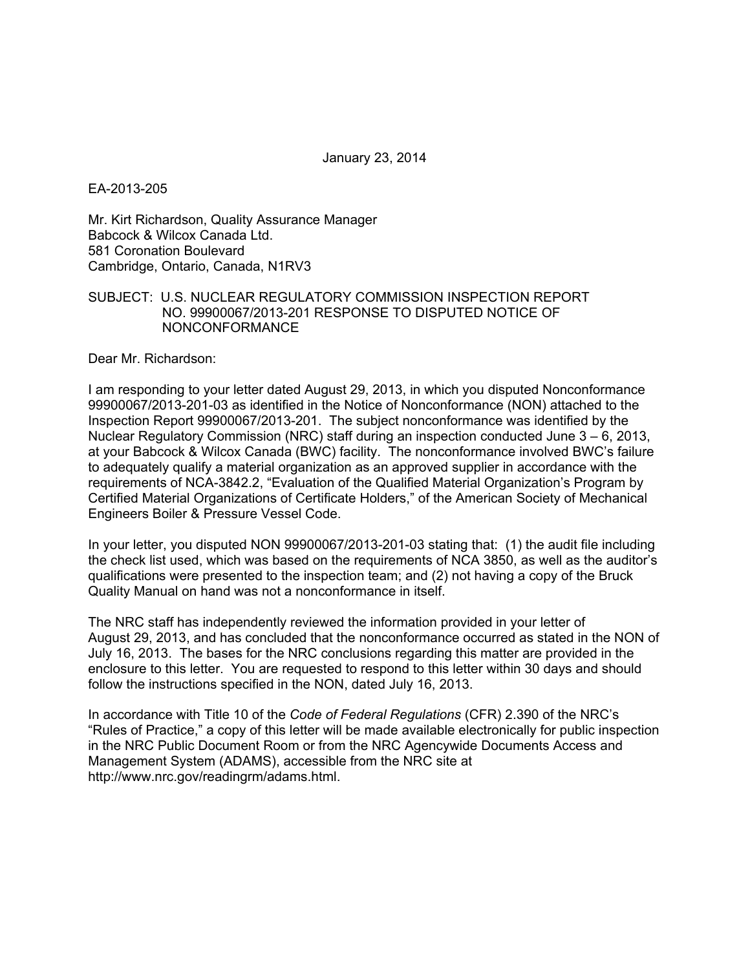January 23, 2014

EA-2013-205

Mr. Kirt Richardson, Quality Assurance Manager Babcock & Wilcox Canada Ltd. 581 Coronation Boulevard Cambridge, Ontario, Canada, N1RV3

## SUBJECT: U.S. NUCLEAR REGULATORY COMMISSION INSPECTION REPORT NO. 99900067/2013-201 RESPONSE TO DISPUTED NOTICE OF NONCONFORMANCE

Dear Mr. Richardson:

I am responding to your letter dated August 29, 2013, in which you disputed Nonconformance 99900067/2013-201-03 as identified in the Notice of Nonconformance (NON) attached to the Inspection Report 99900067/2013-201. The subject nonconformance was identified by the Nuclear Regulatory Commission (NRC) staff during an inspection conducted June 3 – 6, 2013, at your Babcock & Wilcox Canada (BWC) facility. The nonconformance involved BWC's failure to adequately qualify a material organization as an approved supplier in accordance with the requirements of NCA-3842.2, "Evaluation of the Qualified Material Organization's Program by Certified Material Organizations of Certificate Holders," of the American Society of Mechanical Engineers Boiler & Pressure Vessel Code.

In your letter, you disputed NON 99900067/2013-201-03 stating that: (1) the audit file including the check list used, which was based on the requirements of NCA 3850, as well as the auditor's qualifications were presented to the inspection team; and (2) not having a copy of the Bruck Quality Manual on hand was not a nonconformance in itself.

The NRC staff has independently reviewed the information provided in your letter of August 29, 2013, and has concluded that the nonconformance occurred as stated in the NON of July 16, 2013. The bases for the NRC conclusions regarding this matter are provided in the enclosure to this letter. You are requested to respond to this letter within 30 days and should follow the instructions specified in the NON, dated July 16, 2013.

In accordance with Title 10 of the *Code of Federal Regulations* (CFR) 2.390 of the NRC's "Rules of Practice," a copy of this letter will be made available electronically for public inspection in the NRC Public Document Room or from the NRC Agencywide Documents Access and Management System (ADAMS), accessible from the NRC site at http://www.nrc.gov/readingrm/adams.html.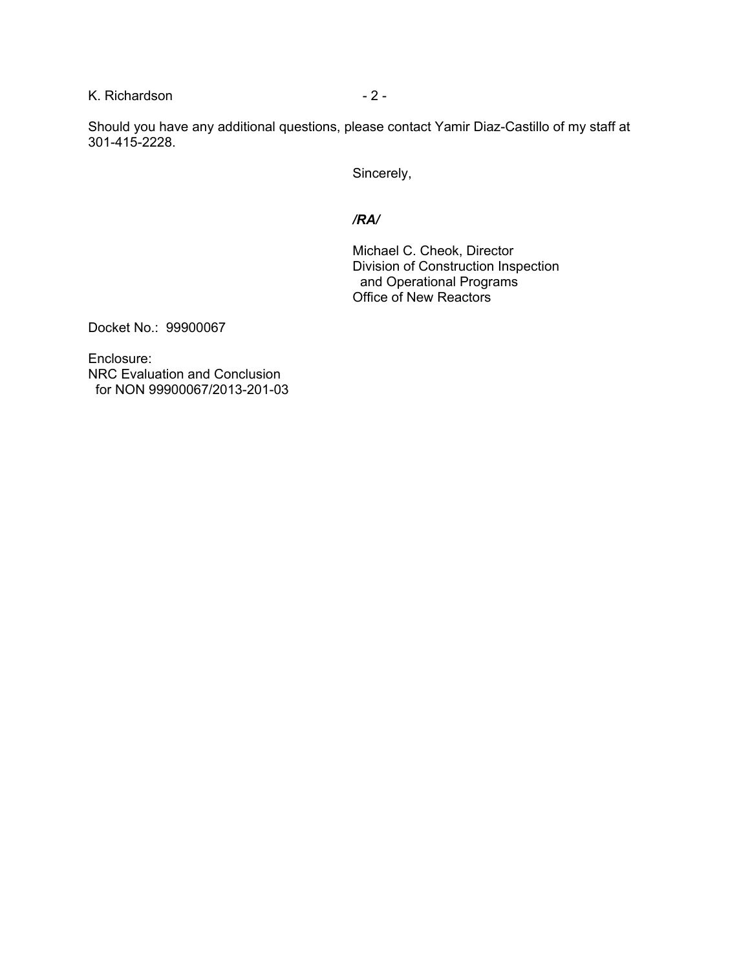K. Richardson - 2 -

Should you have any additional questions, please contact Yamir Diaz-Castillo of my staff at 301-415-2228.

Sincerely,

## */RA/*

Michael C. Cheok, Director Division of Construction Inspection and Operational Programs Office of New Reactors

Docket No.: 99900067

Enclosure: NRC Evaluation and Conclusion for NON 99900067/2013-201-03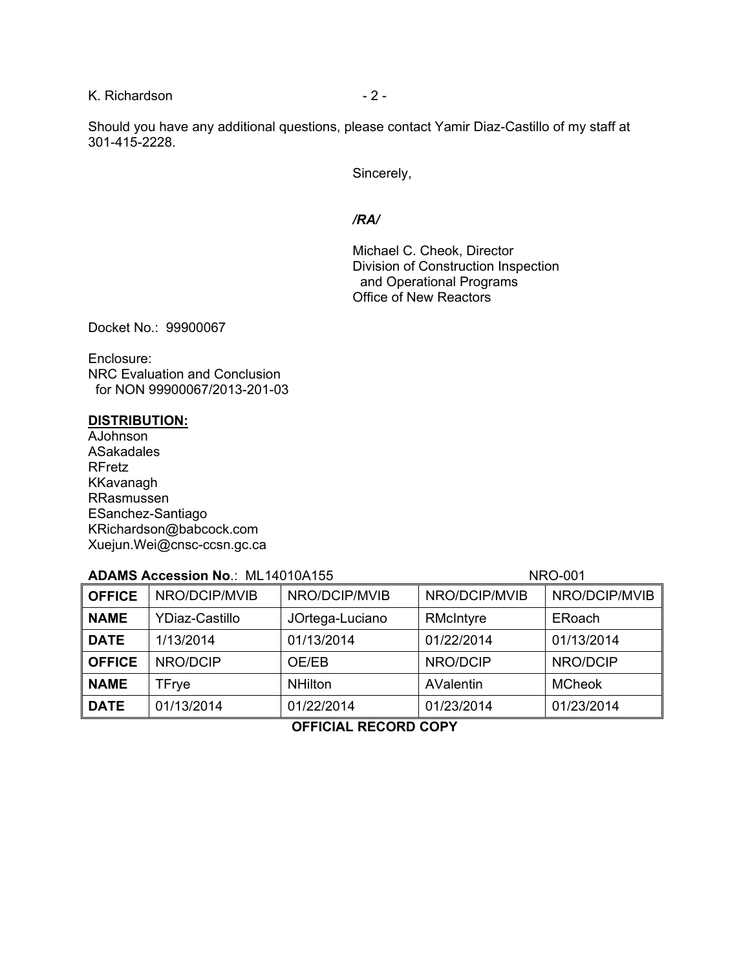K. Richardson **- 2 -** 2 -

Should you have any additional questions, please contact Yamir Diaz-Castillo of my staff at 301-415-2228.

Sincerely,

#### */RA/*

Michael C. Cheok, Director Division of Construction Inspection and Operational Programs Office of New Reactors

Docket No.: 99900067

Enclosure: NRC Evaluation and Conclusion for NON 99900067/2013-201-03

### **DISTRIBUTION:**

AJohnson ASakadales RFretz KKavanagh RRasmussen ESanchez-Santiago KRichardson@babcock.com Xuejun.Wei@cnsc-ccsn.gc.ca

# **ADAMS Accession No.: ML14010A155 NRO-001**

| <b>OFFICE</b> | NRO/DCIP/MVIB         | NRO/DCIP/MVIB   | NRO/DCIP/MVIB | NRO/DCIP/MVIB |
|---------------|-----------------------|-----------------|---------------|---------------|
| <b>NAME</b>   | <b>YDiaz-Castillo</b> | JOrtega-Luciano | RMcIntyre     | ERoach        |
| <b>DATE</b>   | 1/13/2014             | 01/13/2014      | 01/22/2014    | 01/13/2014    |
| <b>OFFICE</b> | NRO/DCIP              | OE/EB           | NRO/DCIP      | NRO/DCIP      |
| <b>NAME</b>   | TFrye                 | <b>NHilton</b>  | AValentin     | <b>MCheok</b> |
| <b>DATE</b>   | 01/13/2014            | 01/22/2014      | 01/23/2014    | 01/23/2014    |

**OFFICIAL RECORD COPY**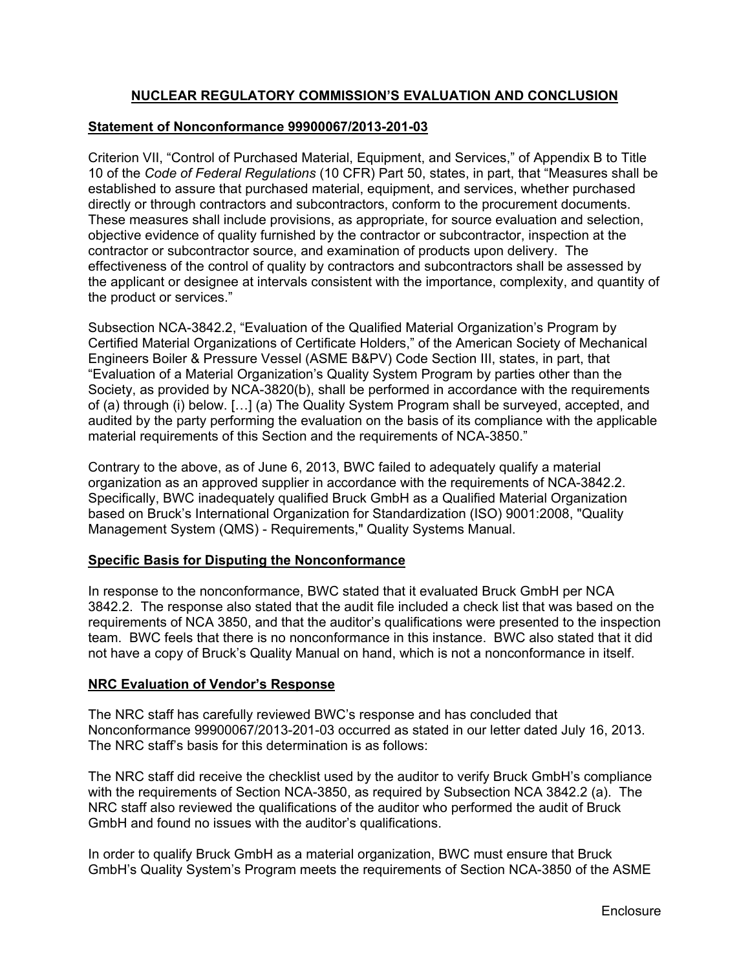# **NUCLEAR REGULATORY COMMISSION'S EVALUATION AND CONCLUSION**

## **Statement of Nonconformance 99900067/2013-201-03**

Criterion VII, "Control of Purchased Material, Equipment, and Services," of Appendix B to Title 10 of the *Code of Federal Regulations* (10 CFR) Part 50, states, in part, that "Measures shall be established to assure that purchased material, equipment, and services, whether purchased directly or through contractors and subcontractors, conform to the procurement documents. These measures shall include provisions, as appropriate, for source evaluation and selection, objective evidence of quality furnished by the contractor or subcontractor, inspection at the contractor or subcontractor source, and examination of products upon delivery. The effectiveness of the control of quality by contractors and subcontractors shall be assessed by the applicant or designee at intervals consistent with the importance, complexity, and quantity of the product or services."

Subsection NCA-3842.2, "Evaluation of the Qualified Material Organization's Program by Certified Material Organizations of Certificate Holders," of the American Society of Mechanical Engineers Boiler & Pressure Vessel (ASME B&PV) Code Section III, states, in part, that "Evaluation of a Material Organization's Quality System Program by parties other than the Society, as provided by NCA-3820(b), shall be performed in accordance with the requirements of (a) through (i) below. […] (a) The Quality System Program shall be surveyed, accepted, and audited by the party performing the evaluation on the basis of its compliance with the applicable material requirements of this Section and the requirements of NCA-3850."

Contrary to the above, as of June 6, 2013, BWC failed to adequately qualify a material organization as an approved supplier in accordance with the requirements of NCA-3842.2. Specifically, BWC inadequately qualified Bruck GmbH as a Qualified Material Organization based on Bruck's International Organization for Standardization (ISO) 9001:2008, "Quality Management System (QMS) - Requirements," Quality Systems Manual.

# **Specific Basis for Disputing the Nonconformance**

In response to the nonconformance, BWC stated that it evaluated Bruck GmbH per NCA 3842.2. The response also stated that the audit file included a check list that was based on the requirements of NCA 3850, and that the auditor's qualifications were presented to the inspection team. BWC feels that there is no nonconformance in this instance. BWC also stated that it did not have a copy of Bruck's Quality Manual on hand, which is not a nonconformance in itself.

### **NRC Evaluation of Vendor's Response**

The NRC staff has carefully reviewed BWC's response and has concluded that Nonconformance 99900067/2013-201-03 occurred as stated in our letter dated July 16, 2013. The NRC staff's basis for this determination is as follows:

The NRC staff did receive the checklist used by the auditor to verify Bruck GmbH's compliance with the requirements of Section NCA-3850, as required by Subsection NCA 3842.2 (a). The NRC staff also reviewed the qualifications of the auditor who performed the audit of Bruck GmbH and found no issues with the auditor's qualifications.

In order to qualify Bruck GmbH as a material organization, BWC must ensure that Bruck GmbH's Quality System's Program meets the requirements of Section NCA-3850 of the ASME